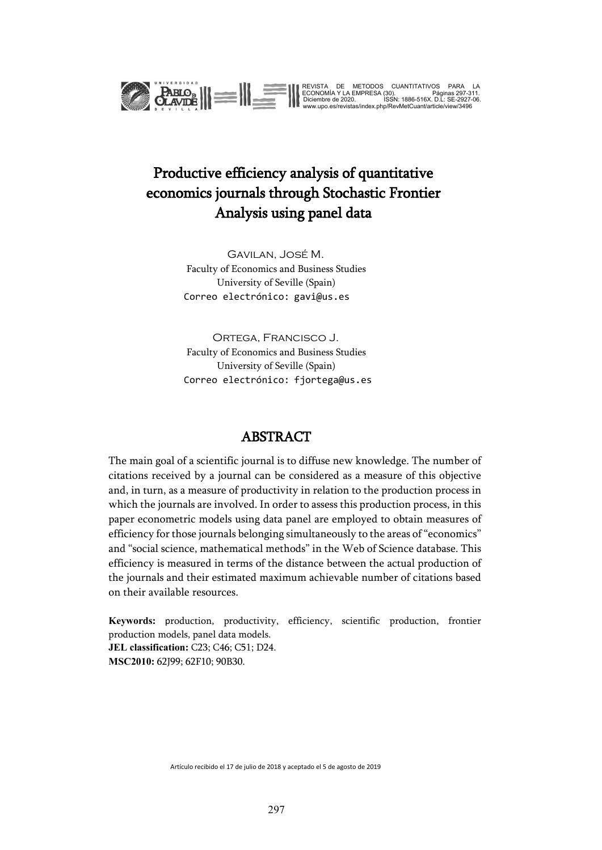

REVISTA DE METODOS CUANTITATIVOS PARA LA<br>ECONOMÍA Y LA EMPRESA (30).<br>Diciembre de 2020. ISSN: 1886-516X. D.L: SE-2927-06.<br>www.upo.es/revistas/index.php/RevMetCuant/article/view/3496

## Productive efficiency analysis of quantitative economics journals through Stochastic Frontier Analysis using panel data

Gavilan, José M. Faculty of Economics and Business Studies University of Seville (Spain) Correo electrónico: gavi@us.es

Ortega, Francisco J. Faculty of Economics and Business Studies University of Seville (Spain) Correo electrónico: fjortega@us.es

### ABSTRACT

The main goal of a scientific journal is to diffuse new knowledge. The number of citations received by a journal can be considered as a measure of this objective and, in turn, as a measure of productivity in relation to the production process in which the journals are involved. In order to assess this production process, in this paper econometric models using data panel are employed to obtain measures of efficiency for those journals belonging simultaneously to the areas of "economics" and "social science, mathematical methods" in the Web of Science database. This efficiency is measured in terms of the distance between the actual production of the journals and their estimated maximum achievable number of citations based on their available resources.

**Keywords:** production, productivity, efficiency, scientific production, frontier production models, panel data models. **JEL classification:** C23; C46; C51; D24. **MSC2010:** 62J99; 62F10; 90B30.

Artículo recibido el 17 de julio de 2018 y aceptado el 5 de agosto de 2019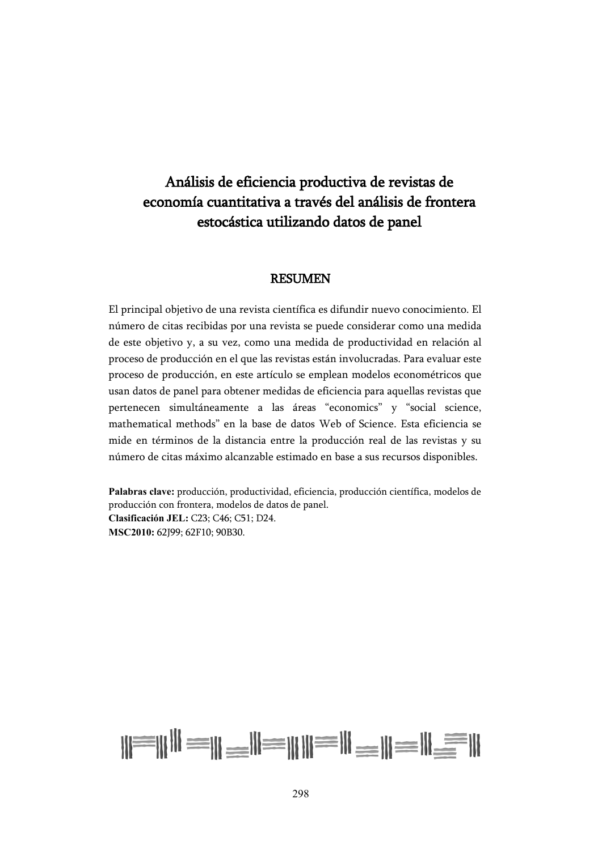## Análisis de eficiencia productiva de revistas de economía cuantitativa a través del análisis de frontera estocástica utilizando datos de panel

#### RESUMEN

El principal objetivo de una revista científica es difundir nuevo conocimiento. El número de citas recibidas por una revista se puede considerar como una medida de este objetivo y, a su vez, como una medida de productividad en relación al proceso de producción en el que las revistas están involucradas. Para evaluar este proceso de producción, en este artículo se emplean modelos econométricos que usan datos de panel para obtener medidas de eficiencia para aquellas revistas que pertenecen simultáneamente a las áreas "economics" y "social science, mathematical methods" en la base de datos Web of Science. Esta eficiencia se mide en términos de la distancia entre la producción real de las revistas y su número de citas máximo alcanzable estimado en base a sus recursos disponibles.

**Palabras clave:** producción, productividad, eficiencia, producción científica, modelos de producción con frontera, modelos de datos de panel. **Clasificación JEL:** C23; C46; C51; D24. **MSC2010:** 62J99; 62F10; 90B30.

# $||\equiv|||$   $||\equiv||\equiv||\equiv||\equiv||\equiv||\equiv||$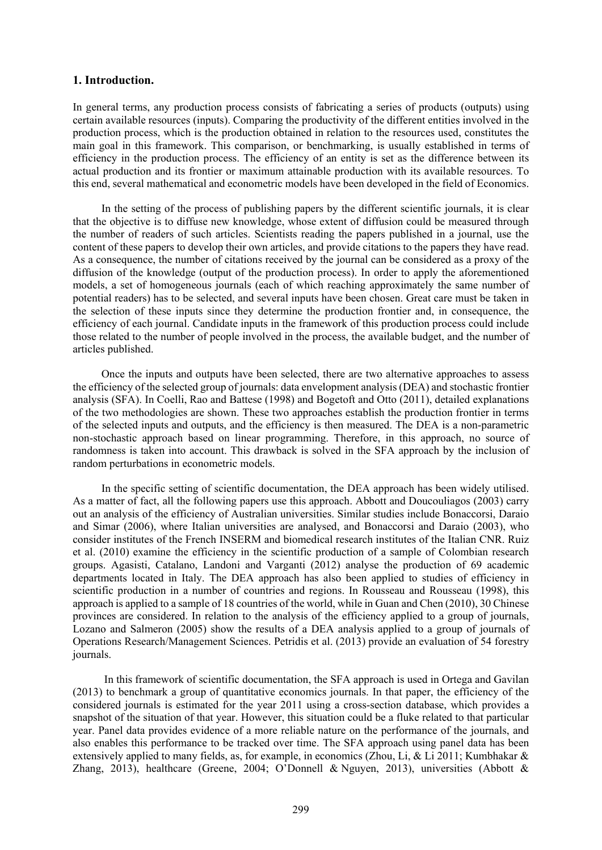#### **1. Introduction.**

In general terms, any production process consists of fabricating a series of products (outputs) using certain available resources (inputs). Comparing the productivity of the different entities involved in the production process, which is the production obtained in relation to the resources used, constitutes the main goal in this framework. This comparison, or benchmarking, is usually established in terms of efficiency in the production process. The efficiency of an entity is set as the difference between its actual production and its frontier or maximum attainable production with its available resources. To this end, several mathematical and econometric models have been developed in the field of Economics.

In the setting of the process of publishing papers by the different scientific journals, it is clear that the objective is to diffuse new knowledge, whose extent of diffusion could be measured through the number of readers of such articles. Scientists reading the papers published in a journal, use the content of these papers to develop their own articles, and provide citations to the papers they have read. As a consequence, the number of citations received by the journal can be considered as a proxy of the diffusion of the knowledge (output of the production process). In order to apply the aforementioned models, a set of homogeneous journals (each of which reaching approximately the same number of potential readers) has to be selected, and several inputs have been chosen. Great care must be taken in the selection of these inputs since they determine the production frontier and, in consequence, the efficiency of each journal. Candidate inputs in the framework of this production process could include those related to the number of people involved in the process, the available budget, and the number of articles published.

Once the inputs and outputs have been selected, there are two alternative approaches to assess the efficiency of the selected group of journals: data envelopment analysis (DEA) and stochastic frontier analysis (SFA). In Coelli, Rao and Battese (1998) and Bogetoft and Otto (2011), detailed explanations of the two methodologies are shown. These two approaches establish the production frontier in terms of the selected inputs and outputs, and the efficiency is then measured. The DEA is a non-parametric non-stochastic approach based on linear programming. Therefore, in this approach, no source of randomness is taken into account. This drawback is solved in the SFA approach by the inclusion of random perturbations in econometric models.

In the specific setting of scientific documentation, the DEA approach has been widely utilised. As a matter of fact, all the following papers use this approach. Abbott and Doucouliagos (2003) carry out an analysis of the efficiency of Australian universities. Similar studies include Bonaccorsi, Daraio and Simar (2006), where Italian universities are analysed, and Bonaccorsi and Daraio (2003), who consider institutes of the French INSERM and biomedical research institutes of the Italian CNR. Ruiz et al. (2010) examine the efficiency in the scientific production of a sample of Colombian research groups. Agasisti, Catalano, Landoni and Varganti (2012) analyse the production of 69 academic departments located in Italy. The DEA approach has also been applied to studies of efficiency in scientific production in a number of countries and regions. In Rousseau and Rousseau (1998), this approach is applied to a sample of 18 countries of the world, while in Guan and Chen (2010), 30 Chinese provinces are considered. In relation to the analysis of the efficiency applied to a group of journals, Lozano and Salmeron (2005) show the results of a DEA analysis applied to a group of journals of Operations Research/Management Sciences. Petridis et al. (2013) provide an evaluation of 54 forestry journals.

In this framework of scientific documentation, the SFA approach is used in Ortega and Gavilan (2013) to benchmark a group of quantitative economics journals. In that paper, the efficiency of the considered journals is estimated for the year 2011 using a cross-section database, which provides a snapshot of the situation of that year. However, this situation could be a fluke related to that particular year. Panel data provides evidence of a more reliable nature on the performance of the journals, and also enables this performance to be tracked over time. The SFA approach using panel data has been extensively applied to many fields, as, for example, in economics (Zhou, Li, & Li 2011; Kumbhakar & Zhang, 2013), healthcare (Greene, 2004; [O'Donnell](http://link.springer.com/search?facet-author=%22C.+J.+O%E2%80%99Donnell%22) & [Nguyen,](http://link.springer.com/search?facet-author=%22K.+Nguyen%22) 2013), universities (Abbott &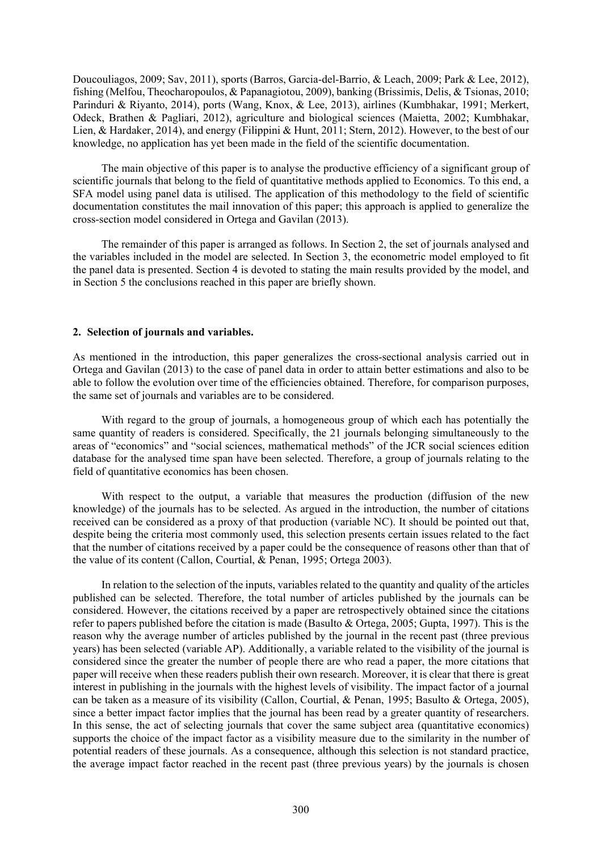Doucouliagos, 2009; Sav, 2011), sports (Barros, Garcia-del-Barrio, & Leach, 2009; Park & Lee, 2012), fishing (Melfou, Theocharopoulos, & Papanagiotou, 2009), banking (Brissimis, Delis, & Tsionas, 2010; Parinduri & Riyanto, 2014), ports (Wang, Knox, & Lee, 2013), airlines (Kumbhakar, 1991; Merkert, Odeck, Brathen & Pagliari, 2012), agriculture and biological sciences (Maietta, 2002; Kumbhakar, Lien, & Hardaker, 2014), and energy (Filippini & Hunt, 2011; Stern, 2012). However, to the best of our knowledge, no application has yet been made in the field of the scientific documentation.

The main objective of this paper is to analyse the productive efficiency of a significant group of scientific journals that belong to the field of quantitative methods applied to Economics. To this end, a SFA model using panel data is utilised. The application of this methodology to the field of scientific documentation constitutes the mail innovation of this paper; this approach is applied to generalize the cross-section model considered in Ortega and Gavilan (2013).

The remainder of this paper is arranged as follows. In Section 2, the set of journals analysed and the variables included in the model are selected. In Section 3, the econometric model employed to fit the panel data is presented. Section 4 is devoted to stating the main results provided by the model, and in Section 5 the conclusions reached in this paper are briefly shown.

#### **2. Selection of journals and variables.**

As mentioned in the introduction, this paper generalizes the cross-sectional analysis carried out in Ortega and Gavilan (2013) to the case of panel data in order to attain better estimations and also to be able to follow the evolution over time of the efficiencies obtained. Therefore, for comparison purposes, the same set of journals and variables are to be considered.

With regard to the group of journals, a homogeneous group of which each has potentially the same quantity of readers is considered. Specifically, the 21 journals belonging simultaneously to the areas of "economics" and "social sciences, mathematical methods" of the JCR social sciences edition database for the analysed time span have been selected. Therefore, a group of journals relating to the field of quantitative economics has been chosen.

With respect to the output, a variable that measures the production (diffusion of the new knowledge) of the journals has to be selected. As argued in the introduction, the number of citations received can be considered as a proxy of that production (variable NC). It should be pointed out that, despite being the criteria most commonly used, this selection presents certain issues related to the fact that the number of citations received by a paper could be the consequence of reasons other than that of the value of its content (Callon, Courtial, & Penan, 1995; Ortega 2003).

In relation to the selection of the inputs, variables related to the quantity and quality of the articles published can be selected. Therefore, the total number of articles published by the journals can be considered. However, the citations received by a paper are retrospectively obtained since the citations refer to papers published before the citation is made (Basulto & Ortega, 2005; Gupta, 1997). This is the reason why the average number of articles published by the journal in the recent past (three previous years) has been selected (variable AP). Additionally, a variable related to the visibility of the journal is considered since the greater the number of people there are who read a paper, the more citations that paper will receive when these readers publish their own research. Moreover, it is clear that there is great interest in publishing in the journals with the highest levels of visibility. The impact factor of a journal can be taken as a measure of its visibility (Callon, Courtial, & Penan, 1995; Basulto & Ortega, 2005), since a better impact factor implies that the journal has been read by a greater quantity of researchers. In this sense, the act of selecting journals that cover the same subject area (quantitative economics) supports the choice of the impact factor as a visibility measure due to the similarity in the number of potential readers of these journals. As a consequence, although this selection is not standard practice, the average impact factor reached in the recent past (three previous years) by the journals is chosen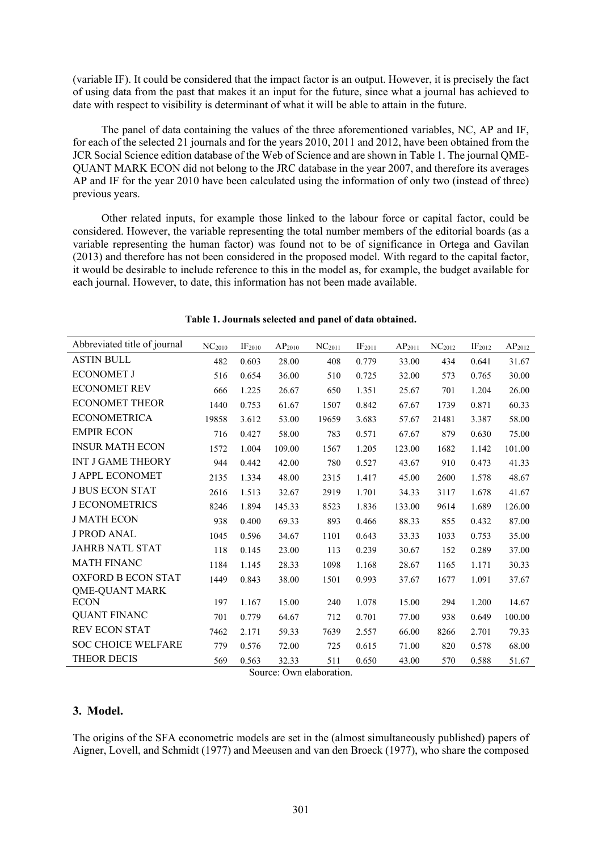(variable IF). It could be considered that the impact factor is an output. However, it is precisely the fact of using data from the past that makes it an input for the future, since what a journal has achieved to date with respect to visibility is determinant of what it will be able to attain in the future.

The panel of data containing the values of the three aforementioned variables, NC, AP and IF, for each of the selected 21 journals and for the years 2010, 2011 and 2012, have been obtained from the JCR Social Science edition database of the Web of Science and are shown in Table 1. The journal QME-QUANT MARK ECON did not belong to the JRC database in the year 2007, and therefore its averages AP and IF for the year 2010 have been calculated using the information of only two (instead of three) previous years.

Other related inputs, for example those linked to the labour force or capital factor, could be considered. However, the variable representing the total number members of the editorial boards (as a variable representing the human factor) was found not to be of significance in Ortega and Gavilan (2013) and therefore has not been considered in the proposed model. With regard to the capital factor, it would be desirable to include reference to this in the model as, for example, the budget available for each journal. However, to date, this information has not been made available.

| Abbreviated title of journal | NC <sub>2010</sub> | IF <sub>2010</sub> | $\rm AP_{2010}$ | $NC_{2011}$ | IF <sub>2011</sub> | AP <sub>2011</sub> | NC <sub>2012</sub> | $IF2012$ | AP <sub>2012</sub> |
|------------------------------|--------------------|--------------------|-----------------|-------------|--------------------|--------------------|--------------------|----------|--------------------|
| <b>ASTIN BULL</b>            | 482                | 0.603              | 28.00           | 408         | 0.779              | 33.00              | 434                | 0.641    | 31.67              |
| <b>ECONOMET J</b>            | 516                | 0.654              | 36.00           | 510         | 0.725              | 32.00              | 573                | 0.765    | 30.00              |
| <b>ECONOMET REV</b>          | 666                | 1.225              | 26.67           | 650         | 1.351              | 25.67              | 701                | 1.204    | 26.00              |
| <b>ECONOMET THEOR</b>        | 1440               | 0.753              | 61.67           | 1507        | 0.842              | 67.67              | 1739               | 0.871    | 60.33              |
| <b>ECONOMETRICA</b>          | 19858              | 3.612              | 53.00           | 19659       | 3.683              | 57.67              | 21481              | 3.387    | 58.00              |
| <b>EMPIR ECON</b>            | 716                | 0.427              | 58.00           | 783         | 0.571              | 67.67              | 879                | 0.630    | 75.00              |
| <b>INSUR MATH ECON</b>       | 1572               | 1.004              | 109.00          | 1567        | 1.205              | 123.00             | 1682               | 1.142    | 101.00             |
| INT J GAME THEORY            | 944                | 0.442              | 42.00           | 780         | 0.527              | 43.67              | 910                | 0.473    | 41.33              |
| <b>J APPL ECONOMET</b>       | 2135               | 1.334              | 48.00           | 2315        | 1.417              | 45.00              | 2600               | 1.578    | 48.67              |
| <b>J BUS ECON STAT</b>       | 2616               | 1.513              | 32.67           | 2919        | 1.701              | 34.33              | 3117               | 1.678    | 41.67              |
| <b>J ECONOMETRICS</b>        | 8246               | 1.894              | 145.33          | 8523        | 1.836              | 133.00             | 9614               | 1.689    | 126.00             |
| <b>J MATH ECON</b>           | 938                | 0.400              | 69.33           | 893         | 0.466              | 88.33              | 855                | 0.432    | 87.00              |
| <b>J PROD ANAL</b>           | 1045               | 0.596              | 34.67           | 1101        | 0.643              | 33.33              | 1033               | 0.753    | 35.00              |
| <b>JAHRB NATL STAT</b>       | 118                | 0.145              | 23.00           | 113         | 0.239              | 30.67              | 152                | 0.289    | 37.00              |
| <b>MATH FINANC</b>           | 1184               | 1.145              | 28.33           | 1098        | 1.168              | 28.67              | 1165               | 1.171    | 30.33              |
| <b>OXFORD B ECON STAT</b>    | 1449               | 0.843              | 38.00           | 1501        | 0.993              | 37.67              | 1677               | 1.091    | 37.67              |
| <b>QME-QUANT MARK</b>        |                    |                    |                 |             |                    |                    |                    |          |                    |
| <b>ECON</b>                  | 197                | 1.167              | 15.00           | 240         | 1.078              | 15.00              | 294                | 1.200    | 14.67              |
| <b>QUANT FINANC</b>          | 701                | 0.779              | 64.67           | 712         | 0.701              | 77.00              | 938                | 0.649    | 100.00             |
| <b>REV ECON STAT</b>         | 7462               | 2.171              | 59.33           | 7639        | 2.557              | 66.00              | 8266               | 2.701    | 79.33              |
| <b>SOC CHOICE WELFARE</b>    | 779                | 0.576              | 72.00           | 725         | 0.615              | 71.00              | 820                | 0.578    | 68.00              |
| <b>THEOR DECIS</b>           | 569                | 0.563              | 32.33           | 511         | 0.650              | 43.00              | 570                | 0.588    | 51.67              |

**Table 1. Journals selected and panel of data obtained.**

Source: Own elaboration.

#### **3. Model.**

The origins of the SFA econometric models are set in the (almost simultaneously published) papers of Aigner, Lovell, and Schmidt (1977) and Meeusen and van den Broeck (1977), who share the composed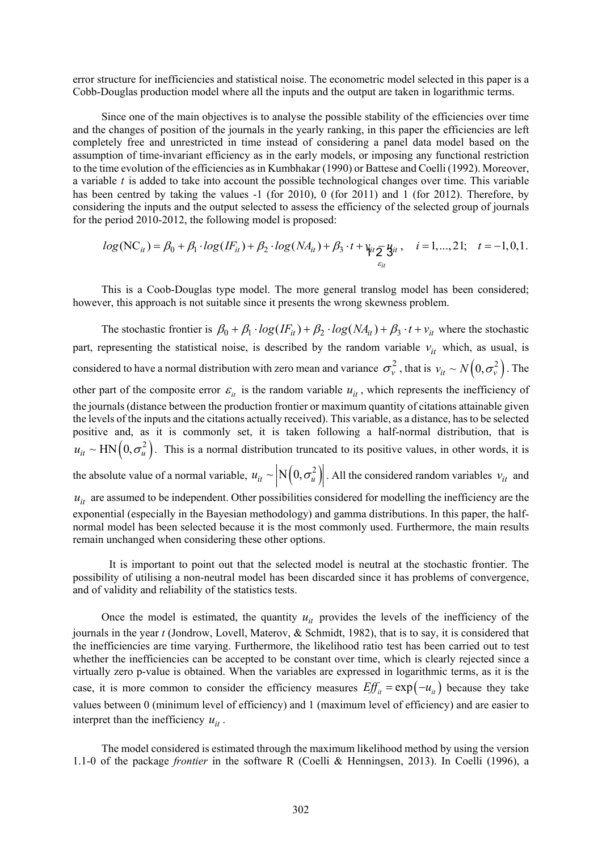error structure for inefficiencies and statistical noise. The econometric model selected in this paper is a Cobb-Douglas production model where all the inputs and the output are taken in logarithmic terms.

Since one of the main objectives is to analyse the possible stability of the efficiencies over time and the changes of position of the journals in the yearly ranking, in this paper the efficiencies are left completely free and unrestricted in time instead of considering a panel data model based on the assumption of time-invariant efficiency as in the early models, or imposing any functional restriction to the time evolution of the efficiencies as in Kumbhakar (1990) or Battese and Coelli (1992). Moreover, a variable *t* is added to take into account the possible technological changes over time. This variable has been centred by taking the values -1 (for 2010), 0 (for 2011) and 1 (for 2012). Therefore, by considering the inputs and the output selected to assess the efficiency of the selected group of journals for the period 2010-2012, the following model is proposed:

$$
log(NC_{it}) = \beta_0 + \beta_1 \cdot log(IF_{it}) + \beta_2 \cdot log(NA_{it}) + \beta_3 \cdot t + \psi_{it} \sum_{\varepsilon_{it}} \mathbf{y}_{it}, \quad i = 1,...,21; \quad t = -1,0,1.
$$

This is a Coob-Douglas type model. The more general translog model has been considered; however, this approach is not suitable since it presents the wrong skewness problem.

The stochastic frontier is  $\beta_0 + \beta_1 \cdot log(IF_{it}) + \beta_2 \cdot log(NA_{it}) + \beta_3 \cdot t + v_{it}$  where the stochastic part, representing the statistical noise, is described by the random variable  $v_{it}$  which, as usual, is considered to have a normal distribution with zero mean and variance  $\sigma_v^2$ , that is  $v_{it} \sim N(0, \sigma_v^2)$ . The other part of the composite error  $\varepsilon$ <sub>*it*</sub> is the random variable  $u$ <sub>*it*</sub>, which represents the inefficiency of the journals (distance between the production frontier or maximum quantity of citations attainable given the levels of the inputs and the citations actually received). This variable, as a distance, has to be selected positive and, as it is commonly set, it is taken following a half-normal distribution, that is  $u_{it} \sim \text{HN}\left(0, \sigma_u^2\right)$ . This is a normal distribution truncated to its positive values, in other words, it is the absolute value of a normal variable,  $u_{it} \sim |N(0, \sigma_u^2)|$ . All the considered random variables  $v_{it}$  and  $u_{it}$  are assumed to be independent. Other possibilities considered for modelling the inefficiency are the exponential (especially in the Bayesian methodology) and gamma distributions. In this paper, the halfnormal model has been selected because it is the most commonly used. Furthermore, the main results remain unchanged when considering these other options.

It is important to point out that the selected model is neutral at the stochastic frontier. The possibility of utilising a non-neutral model has been discarded since it has problems of convergence, and of validity and reliability of the statistics tests.

Once the model is estimated, the quantity  $u_{it}$  provides the levels of the inefficiency of the journals in the year *t* (Jondrow, Lovell, Materov, & Schmidt, 1982), that is to say, it is considered that the inefficiencies are time varying. Furthermore, the likelihood ratio test has been carried out to test whether the inefficiencies can be accepted to be constant over time, which is clearly rejected since a virtually zero p-value is obtained. When the variables are expressed in logarithmic terms, as it is the case, it is more common to consider the efficiency measures  $Eff_{ii} = \exp(-u_{ii})$  because they take values between 0 (minimum level of efficiency) and 1 (maximum level of efficiency) and are easier to interpret than the inefficiency  $u_{it}$ .

The model considered is estimated through the maximum likelihood method by using the version 1.1-0 of the package *frontier* in the software R (Coelli & Henningsen, 2013). In Coelli (1996), a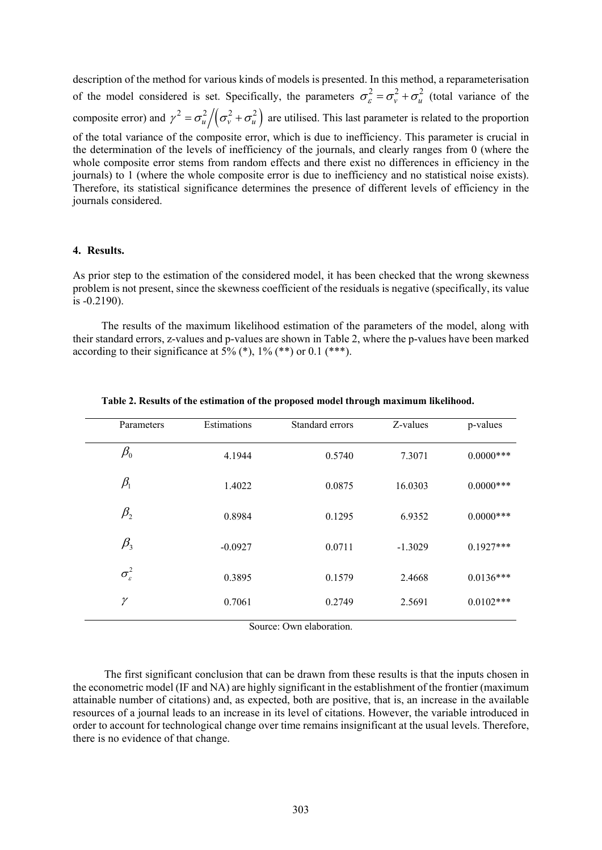description of the method for various kinds of models is presented. In this method, a reparameterisation of the model considered is set. Specifically, the parameters  $\sigma_{\varepsilon}^2 = \sigma_{\nu}^2 + \sigma_{\mu}^2$  (total variance of the composite error) and  $\gamma^2 = \frac{\sigma_u^2}{\sigma_v^2 + \sigma_u^2}$  are utilised. This last parameter is related to the proportion of the total variance of the composite error, which is due to inefficiency. This parameter is crucial in the determination of the levels of inefficiency of the journals, and clearly ranges from 0 (where the whole composite error stems from random effects and there exist no differences in efficiency in the journals) to 1 (where the whole composite error is due to inefficiency and no statistical noise exists). Therefore, its statistical significance determines the presence of different levels of efficiency in the journals considered.

#### **4. Results.**

As prior step to the estimation of the considered model, it has been checked that the wrong skewness problem is not present, since the skewness coefficient of the residuals is negative (specifically, its value is -0.2190).

The results of the maximum likelihood estimation of the parameters of the model, along with their standard errors, z-values and p-values are shown in Table 2, where the p-values have been marked according to their significance at  $5\%$  (\*),  $1\%$  (\*\*) or 0.1 (\*\*\*).

| Parameters                     | Estimations | Standard errors | Z-values  | p-values     |
|--------------------------------|-------------|-----------------|-----------|--------------|
| $\beta_{\scriptscriptstyle 0}$ | 4.1944      | 0.5740          | 7.3071    | $0.0000$ *** |
| $\beta_1$                      | 1.4022      | 0.0875          | 16.0303   | $0.0000$ *** |
| $\beta_{2}$                    | 0.8984      | 0.1295          | 6.9352    | $0.0000$ *** |
| $\beta_{3}$                    | $-0.0927$   | 0.0711          | $-1.3029$ | $0.1927***$  |
| $\sigma_{\varepsilon}^2$       | 0.3895      | 0.1579          | 2.4668    | $0.0136***$  |
| γ                              | 0.7061      | 0.2749          | 2.5691    | $0.0102***$  |
|                                |             |                 |           |              |

**Table 2. Results of the estimation of the proposed model through maximum likelihood.**

Source: Own elaboration.

The first significant conclusion that can be drawn from these results is that the inputs chosen in the econometric model (IF and NA) are highly significant in the establishment of the frontier (maximum attainable number of citations) and, as expected, both are positive, that is, an increase in the available resources of a journal leads to an increase in its level of citations. However, the variable introduced in order to account for technological change over time remains insignificant at the usual levels. Therefore, there is no evidence of that change.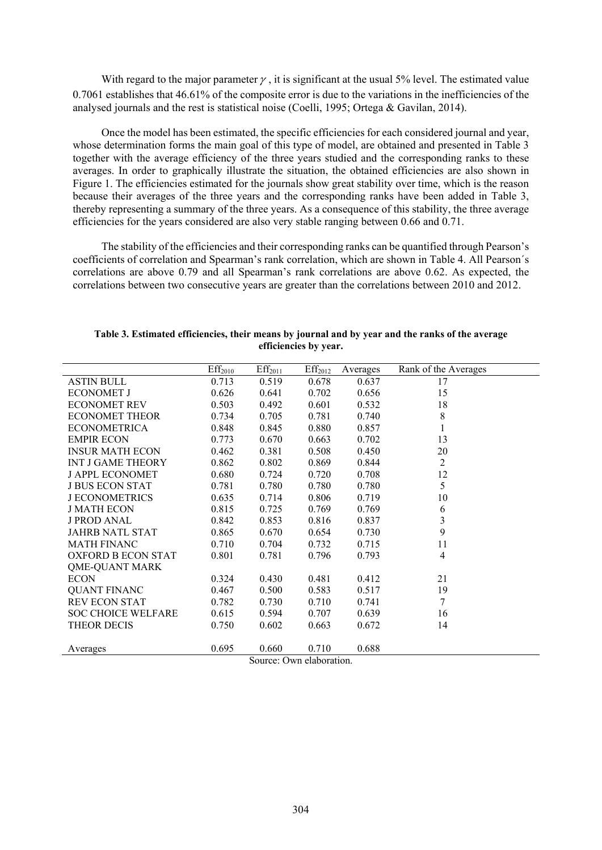With regard to the major parameter  $\gamma$ , it is significant at the usual 5% level. The estimated value 0.7061 establishes that 46.61% of the composite error is due to the variations in the inefficiencies of the analysed journals and the rest is statistical noise (Coelli, 1995; Ortega & Gavilan, 2014).

Once the model has been estimated, the specific efficiencies for each considered journal and year, whose determination forms the main goal of this type of model, are obtained and presented in Table 3 together with the average efficiency of the three years studied and the corresponding ranks to these averages. In order to graphically illustrate the situation, the obtained efficiencies are also shown in Figure 1. The efficiencies estimated for the journals show great stability over time, which is the reason because their averages of the three years and the corresponding ranks have been added in Table 3, thereby representing a summary of the three years. As a consequence of this stability, the three average efficiencies for the years considered are also very stable ranging between 0.66 and 0.71.

The stability of the efficiencies and their corresponding ranks can be quantified through Pearson's coefficients of correlation and Spearman's rank correlation, which are shown in Table 4. All Pearson´s correlations are above 0.79 and all Spearman's rank correlations are above 0.62. As expected, the correlations between two consecutive years are greater than the correlations between 2010 and 2012.

|                           | Eff <sub>2010</sub> | Eff <sub>2011</sub> | Eff <sub>2012</sub> | Averages | Rank of the Averages |
|---------------------------|---------------------|---------------------|---------------------|----------|----------------------|
| <b>ASTIN BULL</b>         | 0.713               | 0.519               | 0.678               | 0.637    | 17                   |
| <b>ECONOMET J</b>         | 0.626               | 0.641               | 0.702               | 0.656    | 15                   |
| <b>ECONOMET REV</b>       | 0.503               | 0.492               | 0.601               | 0.532    | 18                   |
| <b>ECONOMET THEOR</b>     | 0.734               | 0.705               | 0.781               | 0.740    | 8                    |
| <b>ECONOMETRICA</b>       | 0.848               | 0.845               | 0.880               | 0.857    | 1                    |
| <b>EMPIR ECON</b>         | 0.773               | 0.670               | 0.663               | 0.702    | 13                   |
| <b>INSUR MATH ECON</b>    | 0.462               | 0.381               | 0.508               | 0.450    | 20                   |
| <b>INT J GAME THEORY</b>  | 0.862               | 0.802               | 0.869               | 0.844    | $\overline{2}$       |
| <b>J APPL ECONOMET</b>    | 0.680               | 0.724               | 0.720               | 0.708    | 12                   |
| <b>J BUS ECON STAT</b>    | 0.781               | 0.780               | 0.780               | 0.780    | 5                    |
| <b>J ECONOMETRICS</b>     | 0.635               | 0.714               | 0.806               | 0.719    | 10                   |
| <b>J MATH ECON</b>        | 0.815               | 0.725               | 0.769               | 0.769    | 6                    |
| <b>J PROD ANAL</b>        | 0.842               | 0.853               | 0.816               | 0.837    | 3                    |
| <b>JAHRB NATL STAT</b>    | 0.865               | 0.670               | 0.654               | 0.730    | 9                    |
| <b>MATH FINANC</b>        | 0.710               | 0.704               | 0.732               | 0.715    | 11                   |
| OXFORD B ECON STAT        | 0.801               | 0.781               | 0.796               | 0.793    | 4                    |
| <b>QME-QUANT MARK</b>     |                     |                     |                     |          |                      |
| <b>ECON</b>               | 0.324               | 0.430               | 0.481               | 0.412    | 21                   |
| <b>QUANT FINANC</b>       | 0.467               | 0.500               | 0.583               | 0.517    | 19                   |
| <b>REV ECON STAT</b>      | 0.782               | 0.730               | 0.710               | 0.741    | 7                    |
| <b>SOC CHOICE WELFARE</b> | 0.615               | 0.594               | 0.707               | 0.639    | 16                   |
| THEOR DECIS               | 0.750               | 0.602               | 0.663               | 0.672    | 14                   |
|                           |                     |                     |                     |          |                      |
| Averages                  | 0.695               | 0.660               | 0.710               | 0.688    |                      |

**Table 3. Estimated efficiencies, their means by journal and by year and the ranks of the average efficiencies by year.**

Source: Own elaboration.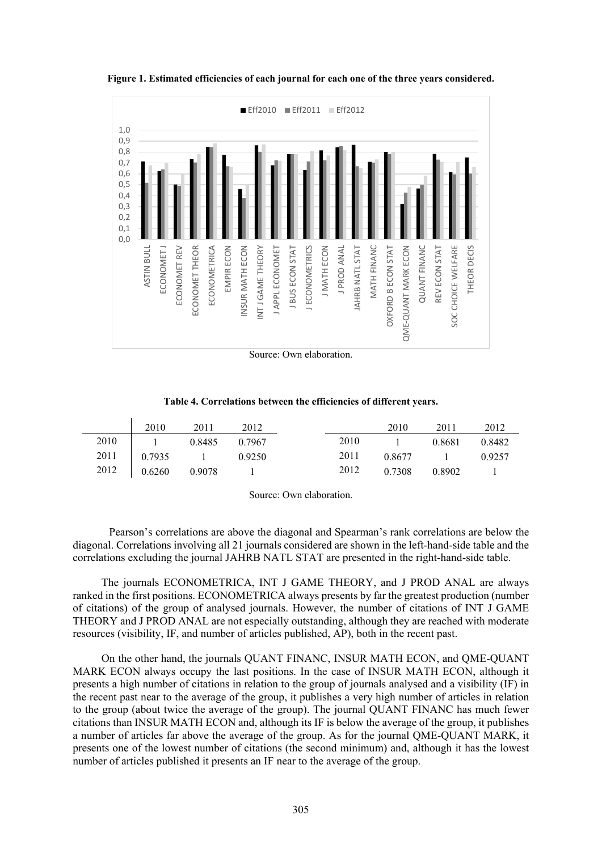

**Figure 1. Estimated efficiencies of each journal for each one of the three years considered.**

Source: Own elaboration.

#### **Table 4. Correlations between the efficiencies of different years.**

| 2010                   | 2011 | 2012 |      | 2010          | 2011            | 2012                               |
|------------------------|------|------|------|---------------|-----------------|------------------------------------|
| 2010   1 0.8485 0.7967 |      |      | 2010 |               | 1 0.8681 0.8482 |                                    |
| 2011 0.7935 1 0.9250   |      |      | 2011 |               | $0.8677$ 1      | 0.9257                             |
| 2012 0.6260 0.9078 1   |      |      | 2012 | 0.7308 0.8902 |                 | $\sim$ $\sim$ $\sim$ $\sim$ $\sim$ |

Source: Own elaboration.

Pearson's correlations are above the diagonal and Spearman's rank correlations are below the diagonal. Correlations involving all 21 journals considered are shown in the left-hand-side table and the correlations excluding the journal JAHRB NATL STAT are presented in the right-hand-side table.

The journals ECONOMETRICA, INT J GAME THEORY, and J PROD ANAL are always ranked in the first positions. ECONOMETRICA always presents by far the greatest production (number of citations) of the group of analysed journals. However, the number of citations of INT J GAME THEORY and J PROD ANAL are not especially outstanding, although they are reached with moderate resources (visibility, IF, and number of articles published, AP), both in the recent past.

On the other hand, the journals QUANT FINANC, INSUR MATH ECON, and QME-QUANT MARK ECON always occupy the last positions. In the case of INSUR MATH ECON, although it presents a high number of citations in relation to the group of journals analysed and a visibility (IF) in the recent past near to the average of the group, it publishes a very high number of articles in relation to the group (about twice the average of the group). The journal QUANT FINANC has much fewer citations than INSUR MATH ECON and, although its IF is below the average of the group, it publishes a number of articles far above the average of the group. As for the journal QME-QUANT MARK, it presents one of the lowest number of citations (the second minimum) and, although it has the lowest number of articles published it presents an IF near to the average of the group.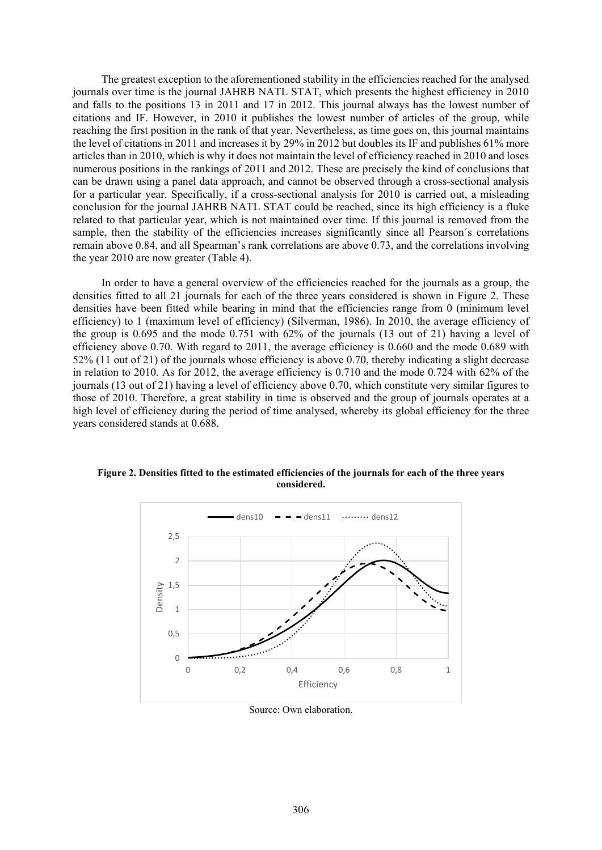The greatest exception to the aforementioned stability in the efficiencies reached for the analysed journals over time is the journal JAHRB NATL STAT, which presents the highest efficiency in 2010 and falls to the positions 13 in 2011 and 17 in 2012. This journal always has the lowest number of citations and IF. However, in 2010 it publishes the lowest number of articles of the group, while reaching the first position in the rank of that year. Nevertheless, as time goes on, this journal maintains the level of citations in 2011 and increases it by 29% in 2012 but doubles its IF and publishes 61% more articles than in 2010, which is why it does not maintain the level of efficiency reached in 2010 and loses numerous positions in the rankings of 2011 and 2012. These are precisely the kind of conclusions that can be drawn using a panel data approach, and cannot be observed through a cross-sectional analysis for a particular year. Specifically, if a cross-sectional analysis for 2010 is carried out, a misleading conclusion for the journal JAHRB NATL STAT could be reached, since its high efficiency is a fluke related to that particular year, which is not maintained over time. If this journal is removed from the sample, then the stability of the efficiencies increases significantly since all Pearson´s correlations remain above 0.84, and all Spearman's rank correlations are above 0.73, and the correlations involving the year 2010 are now greater (Table 4).

In order to have a general overview of the efficiencies reached for the journals as a group, the densities fitted to all 21 journals for each of the three years considered is shown in Figure 2. These densities have been fitted while bearing in mind that the efficiencies range from 0 (minimum level efficiency) to 1 (maximum level of efficiency) (Silverman, 1986). In 2010, the average efficiency of the group is 0.695 and the mode 0.751 with 62% of the journals (13 out of 21) having a level of efficiency above 0.70. With regard to 2011, the average efficiency is 0.660 and the mode 0.689 with 52% (11 out of 21) of the journals whose efficiency is above 0.70, thereby indicating a slight decrease in relation to 2010. As for 2012, the average efficiency is 0.710 and the mode 0.724 with 62% of the journals (13 out of 21) having a level of efficiency above 0.70, which constitute very similar figures to those of 2010. Therefore, a great stability in time is observed and the group of journals operates at a high level of efficiency during the period of time analysed, whereby its global efficiency for the three years considered stands at 0.688.



**Figure 2. Densities fitted to the estimated efficiencies of the journals for each of the three years considered.**

Source: Own elaboration.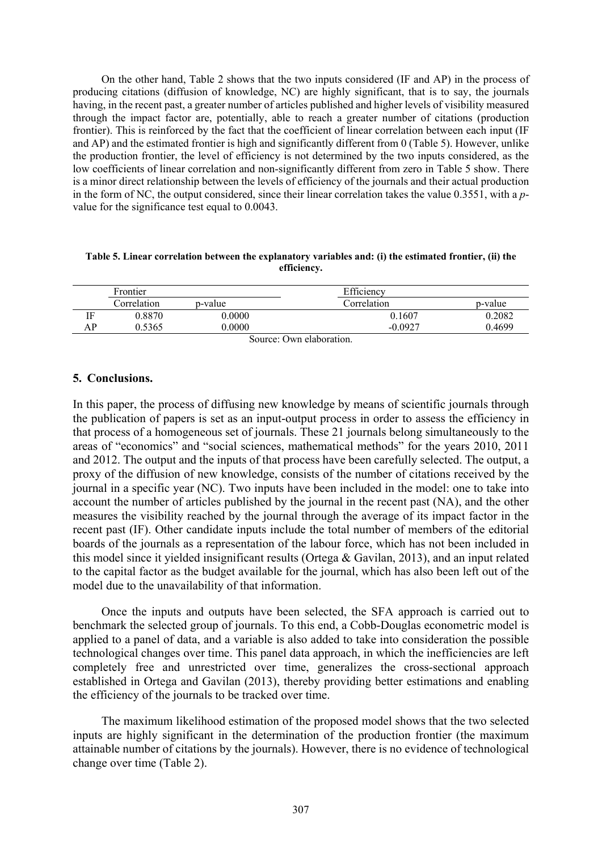On the other hand, Table 2 shows that the two inputs considered (IF and AP) in the process of producing citations (diffusion of knowledge, NC) are highly significant, that is to say, the journals having, in the recent past, a greater number of articles published and higher levels of visibility measured through the impact factor are, potentially, able to reach a greater number of citations (production frontier). This is reinforced by the fact that the coefficient of linear correlation between each input (IF and AP) and the estimated frontier is high and significantly different from 0 (Table 5). However, unlike the production frontier, the level of efficiency is not determined by the two inputs considered, as the low coefficients of linear correlation and non-significantly different from zero in Table 5 show. There is a minor direct relationship between the levels of efficiency of the journals and their actual production in the form of NC, the output considered, since their linear correlation takes the value 0.3551, with a *p*value for the significance test equal to 0.0043.

**Table 5. Linear correlation between the explanatory variables and: (i) the estimated frontier, (ii) the efficiency.**

|    | Frontier    |         | Efficiency  |         |
|----|-------------|---------|-------------|---------|
|    | Correlation | p-value | Correlation | p-value |
| ΙF | 0.8870      | 0.0000  | 0.1607      | 0.2082  |
| AP | 0.5365      | 0.0000  | $-0.0927$   | 0.4699  |
|    |             |         |             |         |

Source: Own elaboration.

#### **5. Conclusions.**

In this paper, the process of diffusing new knowledge by means of scientific journals through the publication of papers is set as an input-output process in order to assess the efficiency in that process of a homogeneous set of journals. These 21 journals belong simultaneously to the areas of "economics" and "social sciences, mathematical methods" for the years 2010, 2011 and 2012. The output and the inputs of that process have been carefully selected. The output, a proxy of the diffusion of new knowledge, consists of the number of citations received by the journal in a specific year (NC). Two inputs have been included in the model: one to take into account the number of articles published by the journal in the recent past (NA), and the other measures the visibility reached by the journal through the average of its impact factor in the recent past (IF). Other candidate inputs include the total number of members of the editorial boards of the journals as a representation of the labour force, which has not been included in this model since it yielded insignificant results (Ortega & Gavilan, 2013), and an input related to the capital factor as the budget available for the journal, which has also been left out of the model due to the unavailability of that information.

Once the inputs and outputs have been selected, the SFA approach is carried out to benchmark the selected group of journals. To this end, a Cobb-Douglas econometric model is applied to a panel of data, and a variable is also added to take into consideration the possible technological changes over time. This panel data approach, in which the inefficiencies are left completely free and unrestricted over time, generalizes the cross-sectional approach established in Ortega and Gavilan (2013), thereby providing better estimations and enabling the efficiency of the journals to be tracked over time.

The maximum likelihood estimation of the proposed model shows that the two selected inputs are highly significant in the determination of the production frontier (the maximum attainable number of citations by the journals). However, there is no evidence of technological change over time (Table 2).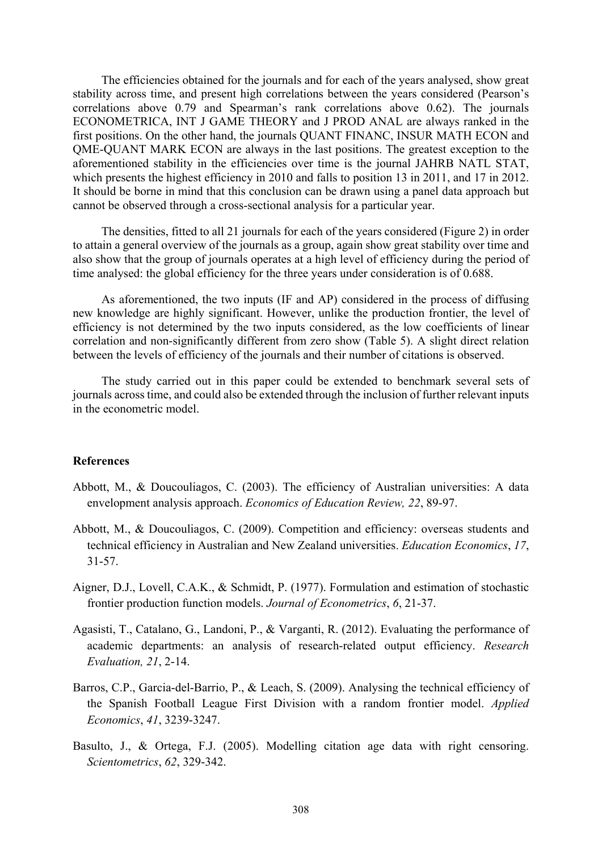The efficiencies obtained for the journals and for each of the years analysed, show great stability across time, and present high correlations between the years considered (Pearson's correlations above 0.79 and Spearman's rank correlations above 0.62). The journals ECONOMETRICA, INT J GAME THEORY and J PROD ANAL are always ranked in the first positions. On the other hand, the journals QUANT FINANC, INSUR MATH ECON and QME-QUANT MARK ECON are always in the last positions. The greatest exception to the aforementioned stability in the efficiencies over time is the journal JAHRB NATL STAT, which presents the highest efficiency in 2010 and falls to position 13 in 2011, and 17 in 2012. It should be borne in mind that this conclusion can be drawn using a panel data approach but cannot be observed through a cross-sectional analysis for a particular year.

The densities, fitted to all 21 journals for each of the years considered (Figure 2) in order to attain a general overview of the journals as a group, again show great stability over time and also show that the group of journals operates at a high level of efficiency during the period of time analysed: the global efficiency for the three years under consideration is of 0.688.

As aforementioned, the two inputs (IF and AP) considered in the process of diffusing new knowledge are highly significant. However, unlike the production frontier, the level of efficiency is not determined by the two inputs considered, as the low coefficients of linear correlation and non-significantly different from zero show (Table 5). A slight direct relation between the levels of efficiency of the journals and their number of citations is observed.

The study carried out in this paper could be extended to benchmark several sets of journals across time, and could also be extended through the inclusion of further relevant inputs in the econometric model.

#### **References**

- Abbott, M., & Doucouliagos, C. (2003). The efficiency of Australian universities: A data envelopment analysis approach. *Economics of Education Review, 22*, 89-97.
- Abbott, M., & Doucouliagos, C. (2009). Competition and efficiency: overseas students and technical efficiency in Australian and New Zealand universities. *Education Economics*, *17*, 31-57.
- Aigner, D.J., Lovell, C.A.K., & Schmidt, P. (1977). Formulation and estimation of stochastic frontier production function models. *Journal of Econometrics*, *6*, 21-37.
- Agasisti, T., Catalano, G., Landoni, P., & Varganti, R. (2012). Evaluating the performance of academic departments: an analysis of research-related output efficiency. *Research Evaluation, 21*, 2-14.
- Barros, C.P., Garcia-del-Barrio, P., & Leach, S. (2009). Analysing the technical efficiency of the Spanish Football League First Division with a random frontier model. *Applied Economics*, *41*, 3239-3247.
- Basulto, J., & Ortega, F.J. (2005). Modelling citation age data with right censoring. *Scientometrics*, *62*, 329-342.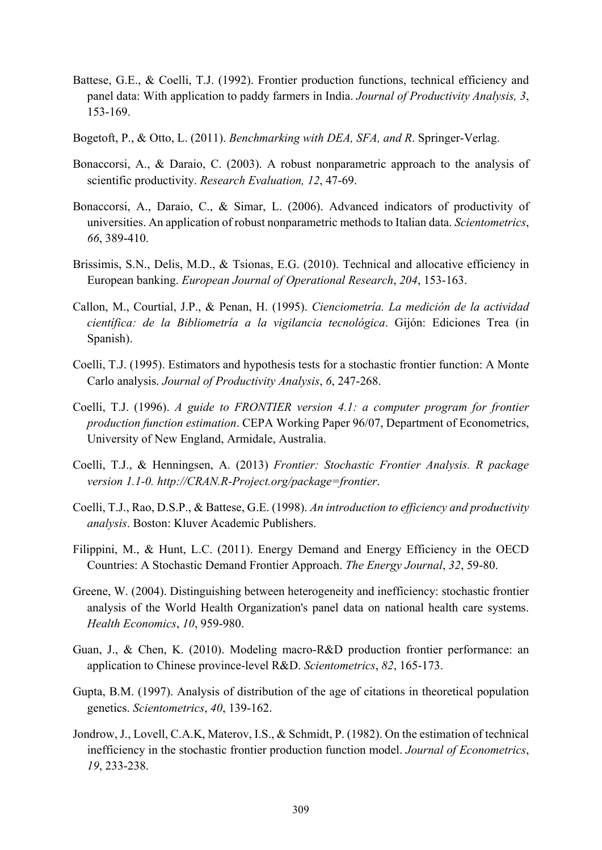- Battese, G.E., & Coelli, T.J. (1992). Frontier production functions, technical efficiency and panel data: With application to paddy farmers in India. *Journal of Productivity Analysis, 3*, 153-169.
- Bogetoft, P., & Otto, L. (2011). *Benchmarking with DEA, SFA, and R*. Springer-Verlag.
- Bonaccorsi, A., & Daraio, C. (2003). A robust nonparametric approach to the analysis of scientific productivity. *Research Evaluation, 12*, 47-69.
- Bonaccorsi, A., Daraio, C., & Simar, L. (2006). Advanced indicators of productivity of universities. An application of robust nonparametric methods to Italian data. *Scientometrics*, *66*, 389-410.
- Brissimis, S.N., Delis, M.D., & Tsionas, E.G. (2010). Technical and allocative efficiency in European banking. *European Journal of Operational Research*, *204*, 153-163.
- Callon, M., Courtial, J.P., & Penan, H. (1995). *Cienciometría. La medición de la actividad científica: de la Bibliometría a la vigilancia tecnológica*. Gijón: Ediciones Trea (in Spanish).
- Coelli, T.J. (1995). Estimators and hypothesis tests for a stochastic frontier function: A Monte Carlo analysis. *Journal of Productivity Analysis*, *6*, 247-268.
- Coelli, T.J. (1996). *A guide to FRONTIER version 4.1: a computer program for frontier production function estimation*. CEPA Working Paper 96/07, Department of Econometrics, University of New England, Armidale, Australia.
- Coelli, T.J., & Henningsen, A. (2013) *Frontier: Stochastic Frontier Analysis. R package version 1.1-0. http://CRAN.R-Project.org/package=frontier*.
- Coelli, T.J., Rao, D.S.P., & Battese, G.E. (1998). *An introduction to efficiency and productivity analysis*. Boston: Kluver Academic Publishers.
- Filippini, M., & Hunt, L.C. (2011). Energy Demand and Energy Efficiency in the OECD Countries: A Stochastic Demand Frontier Approach. *The Energy Journal*, *32*, 59-80.
- Greene, W. (2004). Distinguishing between heterogeneity and inefficiency: stochastic frontier analysis of the World Health Organization's panel data on national health care systems. *Health Economics*, *10*, 959-980.
- Guan, J., & Chen, K. (2010). Modeling macro-R&D production frontier performance: an application to Chinese province-level R&D. *Scientometrics*, *82*, 165-173.
- Gupta, B.M. (1997). Analysis of distribution of the age of citations in theoretical population genetics. *Scientometrics*, *40*, 139-162.
- Jondrow, J., Lovell, C.A.K, Materov, I.S., & Schmidt, P. (1982). On the estimation of technical inefficiency in the stochastic frontier production function model. *Journal of Econometrics*, *19*, 233-238.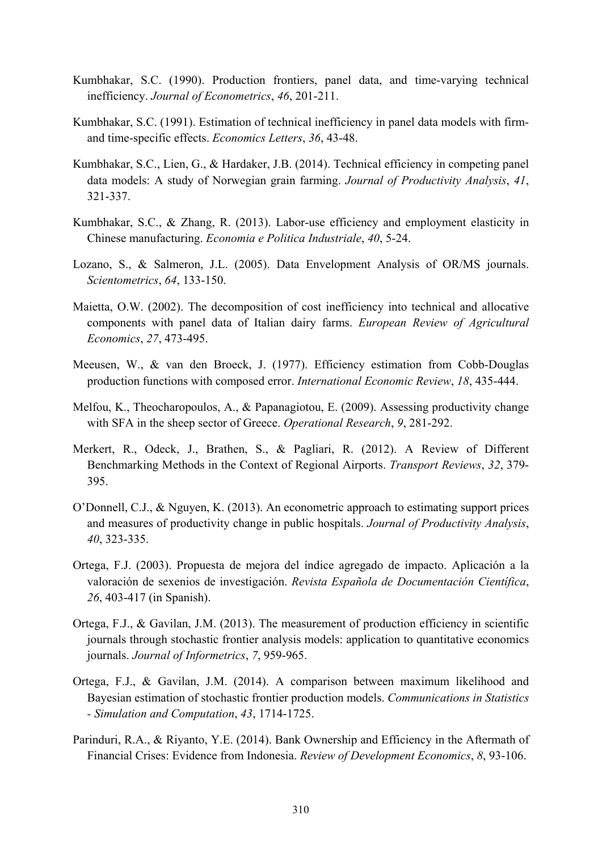- Kumbhakar, S.C. (1990). Production frontiers, panel data, and time-varying technical inefficiency. *Journal of Econometrics*, *46*, 201-211.
- Kumbhakar, S.C. (1991). Estimation of technical inefficiency in panel data models with firmand time-specific effects. *Economics Letters*, *36*, 43-48.
- Kumbhakar, S.C., Lien, G., & Hardaker, J.B. (2014). Technical efficiency in competing panel data models: A study of Norwegian grain farming. *Journal of Productivity Analysis*, *41*, 321-337.
- Kumbhakar, S.C., & Zhang, R. (2013). Labor-use efficiency and employment elasticity in Chinese manufacturing. *Economia e Politica Industriale*, *40*, 5-24.
- Lozano, S., & Salmeron, J.L. (2005). Data Envelopment Analysis of OR/MS journals. *Scientometrics*, *64*, 133-150.
- Maietta, O.W. (2002). The decomposition of cost inefficiency into technical and allocative components with panel data of Italian dairy farms. *European Review of Agricultural Economics*, *27*, 473-495.
- Meeusen, W., & van den Broeck, J. (1977). Efficiency estimation from Cobb-Douglas production functions with composed error. *International Economic Review*, *18*, 435-444.
- Melfou, K., Theocharopoulos, A., & Papanagiotou, E. (2009). Assessing productivity change with SFA in the sheep sector of Greece. *Operational Research*, *9*, 281-292.
- Merkert, R., Odeck, J., Brathen, S., & Pagliari, R. (2012). A Review of Different Benchmarking Methods in the Context of Regional Airports. *Transport Reviews*, *32*, 379- 395.
- O'Donnell, C.J., & Nguyen, K. (2013). An econometric approach to estimating support prices and measures of productivity change in public hospitals. *Journal of Productivity Analysis*, *40*, 323-335.
- Ortega, F.J. (2003). Propuesta de mejora del índice agregado de impacto. Aplicación a la valoración de sexenios de investigación. *Revista Española de Documentación Científica*, *26*, 403-417 (in Spanish).
- Ortega, F.J., & Gavilan, J.M. (2013). The measurement of production efficiency in scientific journals through stochastic frontier analysis models: application to quantitative economics journals. *Journal of Informetrics*, *7*, 959-965.
- Ortega, F.J., & Gavilan, J.M. (2014). A comparison between maximum likelihood and Bayesian estimation of stochastic frontier production models. *Communications in Statistics - Simulation and Computation*, *43*, 1714-1725.
- Parinduri, R.A., & Riyanto, Y.E. (2014). Bank Ownership and Efficiency in the Aftermath of Financial Crises: Evidence from Indonesia. *Review of Development Economics*, *8*, 93-106.